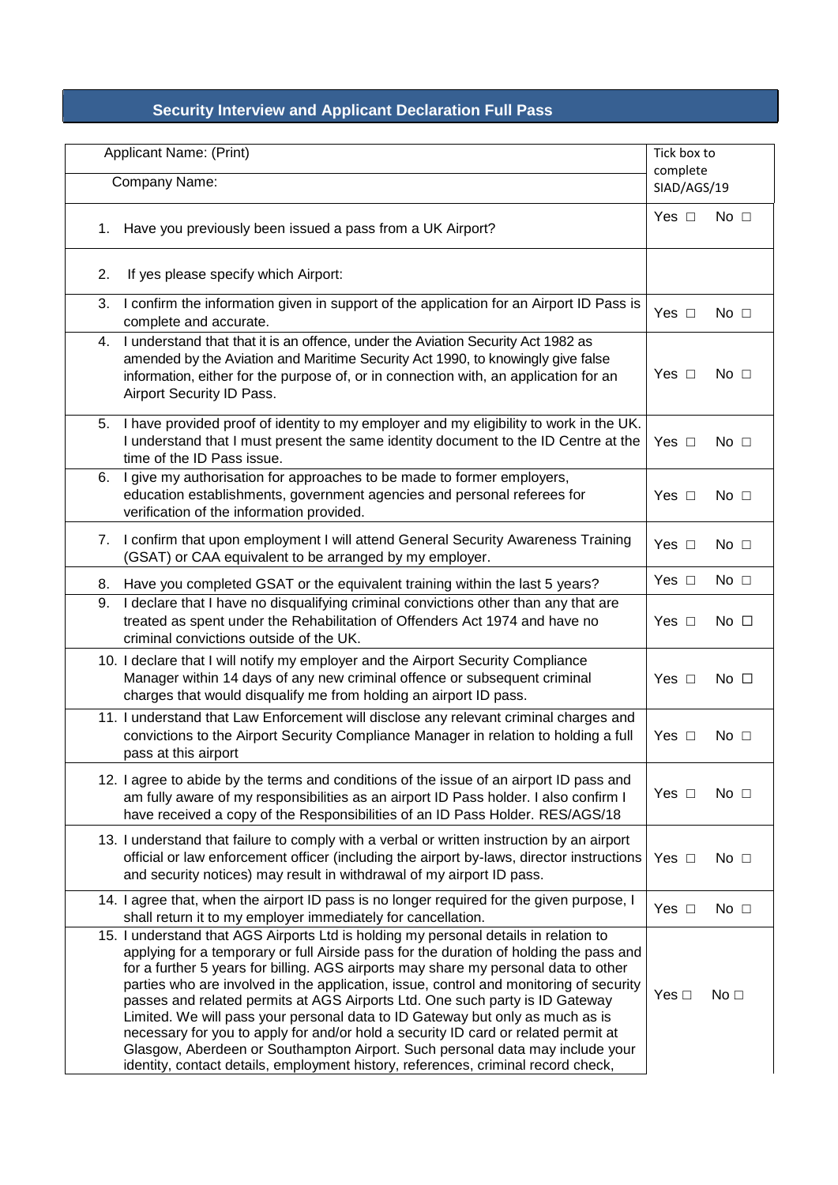## **Security Interview and Applicant Declaration Full Pass**

| Applicant Name: (Print) |                                                                                                                                                                                                                                                                                                                                                                                                                                                                                                                                                                                                                                                                                                                                                                                              | Tick box to             |                 |
|-------------------------|----------------------------------------------------------------------------------------------------------------------------------------------------------------------------------------------------------------------------------------------------------------------------------------------------------------------------------------------------------------------------------------------------------------------------------------------------------------------------------------------------------------------------------------------------------------------------------------------------------------------------------------------------------------------------------------------------------------------------------------------------------------------------------------------|-------------------------|-----------------|
| Company Name:           |                                                                                                                                                                                                                                                                                                                                                                                                                                                                                                                                                                                                                                                                                                                                                                                              | complete<br>SIAD/AGS/19 |                 |
| 1.                      | Have you previously been issued a pass from a UK Airport?                                                                                                                                                                                                                                                                                                                                                                                                                                                                                                                                                                                                                                                                                                                                    | Yes $\square$           | No $\square$    |
| 2.                      | If yes please specify which Airport:                                                                                                                                                                                                                                                                                                                                                                                                                                                                                                                                                                                                                                                                                                                                                         |                         |                 |
| 3.                      | I confirm the information given in support of the application for an Airport ID Pass is<br>complete and accurate.                                                                                                                                                                                                                                                                                                                                                                                                                                                                                                                                                                                                                                                                            | Yes $\square$           | No $\Box$       |
| 4.                      | I understand that that it is an offence, under the Aviation Security Act 1982 as<br>amended by the Aviation and Maritime Security Act 1990, to knowingly give false<br>information, either for the purpose of, or in connection with, an application for an<br>Airport Security ID Pass.                                                                                                                                                                                                                                                                                                                                                                                                                                                                                                     | Yes □                   | No $\square$    |
| 5.                      | I have provided proof of identity to my employer and my eligibility to work in the UK.<br>I understand that I must present the same identity document to the ID Centre at the<br>time of the ID Pass issue.                                                                                                                                                                                                                                                                                                                                                                                                                                                                                                                                                                                  | Yes $\Box$              | No $\square$    |
| 6.                      | I give my authorisation for approaches to be made to former employers,<br>education establishments, government agencies and personal referees for<br>verification of the information provided.                                                                                                                                                                                                                                                                                                                                                                                                                                                                                                                                                                                               | Yes $\square$           | No $\square$    |
| 7.                      | I confirm that upon employment I will attend General Security Awareness Training<br>(GSAT) or CAA equivalent to be arranged by my employer.                                                                                                                                                                                                                                                                                                                                                                                                                                                                                                                                                                                                                                                  | Yes $\square$           | No $\square$    |
| 8.                      | Have you completed GSAT or the equivalent training within the last 5 years?                                                                                                                                                                                                                                                                                                                                                                                                                                                                                                                                                                                                                                                                                                                  | Yes $\square$           | $No$ $\Box$     |
| 9.                      | I declare that I have no disqualifying criminal convictions other than any that are<br>treated as spent under the Rehabilitation of Offenders Act 1974 and have no<br>criminal convictions outside of the UK.                                                                                                                                                                                                                                                                                                                                                                                                                                                                                                                                                                                | Yes $\Box$              | No $\square$    |
|                         | 10. I declare that I will notify my employer and the Airport Security Compliance<br>Manager within 14 days of any new criminal offence or subsequent criminal<br>charges that would disqualify me from holding an airport ID pass.                                                                                                                                                                                                                                                                                                                                                                                                                                                                                                                                                           | Yes $\square$           | No $\square$    |
|                         | 11. I understand that Law Enforcement will disclose any relevant criminal charges and<br>convictions to the Airport Security Compliance Manager in relation to holding a full<br>pass at this airport                                                                                                                                                                                                                                                                                                                                                                                                                                                                                                                                                                                        | Yes $\square$           | No $\square$    |
|                         | 12. I agree to abide by the terms and conditions of the issue of an airport ID pass and<br>am fully aware of my responsibilities as an airport ID Pass holder. I also confirm I<br>have received a copy of the Responsibilities of an ID Pass Holder. RES/AGS/18                                                                                                                                                                                                                                                                                                                                                                                                                                                                                                                             | Yes $\Box$              | No $\square$    |
|                         | 13. I understand that failure to comply with a verbal or written instruction by an airport<br>official or law enforcement officer (including the airport by-laws, director instructions<br>and security notices) may result in withdrawal of my airport ID pass.                                                                                                                                                                                                                                                                                                                                                                                                                                                                                                                             | Yes $\square$           | No $\square$    |
|                         | 14. I agree that, when the airport ID pass is no longer required for the given purpose, I<br>shall return it to my employer immediately for cancellation.                                                                                                                                                                                                                                                                                                                                                                                                                                                                                                                                                                                                                                    | Yes $\square$           | No $\square$    |
|                         | 15. I understand that AGS Airports Ltd is holding my personal details in relation to<br>applying for a temporary or full Airside pass for the duration of holding the pass and<br>for a further 5 years for billing. AGS airports may share my personal data to other<br>parties who are involved in the application, issue, control and monitoring of security<br>passes and related permits at AGS Airports Ltd. One such party is ID Gateway<br>Limited. We will pass your personal data to ID Gateway but only as much as is<br>necessary for you to apply for and/or hold a security ID card or related permit at<br>Glasgow, Aberdeen or Southampton Airport. Such personal data may include your<br>identity, contact details, employment history, references, criminal record check, | Yes $\square$           | No <sub>1</sub> |